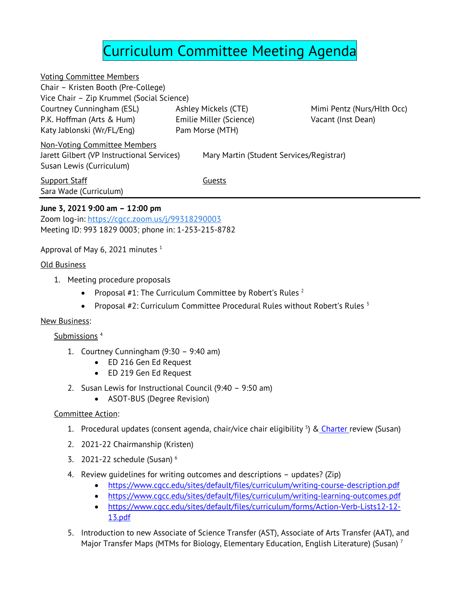# Curriculum Committee Meeting Agenda

Voting Committee Members Chair – Kristen Booth (Pre-College) Vice Chair – Zip Krummel (Social Science) Courtney Cunningham (ESL) P.K. Hoffman (Arts & Hum) Katy Jablonski (Wr/FL/Eng)

Ashley Mickels (CTE) Emilie Miller (Science) Pam Morse (MTH)

Mimi Pentz (Nurs/Hlth Occ) Vacant (Inst Dean)

Non-Voting Committee Members

Jarett Gilbert (VP Instructional Services) Mary Martin (Student Services/Registrar)

**Support Staff** Guests Sara Wade (Curriculum)

Susan Lewis (Curriculum)

## **June 3, 2021 9:00 am – 12:00 pm**

Zoom log-in: [https://cgcc.zoom.us/j/99318290003](https://www.google.com/url?q=https://cgcc.zoom.us/j/99318290003&sa=D&source=calendar&ust=1622951092368000&usg=AOvVaw0fqV8mBUCvhsu8sp7sAhib) Meeting ID: 993 1829 0003; phone in: 1-253-215-8782

### Approval of May 6, 2021 minutes  $1$

#### Old Business

- 1. Meeting procedure proposals
	- Proposal #1: The Curriculum Committee by Robert's Rules  $2^2$
	- Proposal  $#2$ : Curriculum Committee Procedural Rules without Robert's Rules  $3$

#### New Business:

#### Submissions<sup>4</sup>

- 1. Courtney Cunningham (9:30 9:40 am)
	- ED 216 Gen Ed Request
	- ED 219 Gen Ed Request
- 2. Susan Lewis for Instructional Council (9:40 9:50 am)
	- ASOT-BUS (Degree Revision)

#### Committee Action:

- 1. Procedural updates (consent agenda, chair/vice chair eligibility <sup>5</sup>) & [Charter](https://www.cgcc.edu/sites/default/files/curriculum/CC-Charter-06.11.2020.pdf) review (Susan)
- 2. 2021-22 Chairmanship (Kristen)
- 3. 2021-22 schedule (Susan) <sup>6</sup>
- 4. Review guidelines for writing outcomes and descriptions updates? (Zip)
	- <https://www.cgcc.edu/sites/default/files/curriculum/writing-course-description.pdf>
	- <https://www.cgcc.edu/sites/default/files/curriculum/writing-learning-outcomes.pdf>
	- [https://www.cgcc.edu/sites/default/files/curriculum/forms/Action-Verb-Lists12-12-](https://www.cgcc.edu/sites/default/files/curriculum/forms/Action-Verb-Lists12-12-13.pdf) [13.pdf](https://www.cgcc.edu/sites/default/files/curriculum/forms/Action-Verb-Lists12-12-13.pdf)
- 5. Introduction to new Associate of Science Transfer (AST), Associate of Arts Transfer (AAT), and Major Transfer Maps (MTMs for Biology, Elementary Education, English Literature) (Susan)<sup>7</sup>